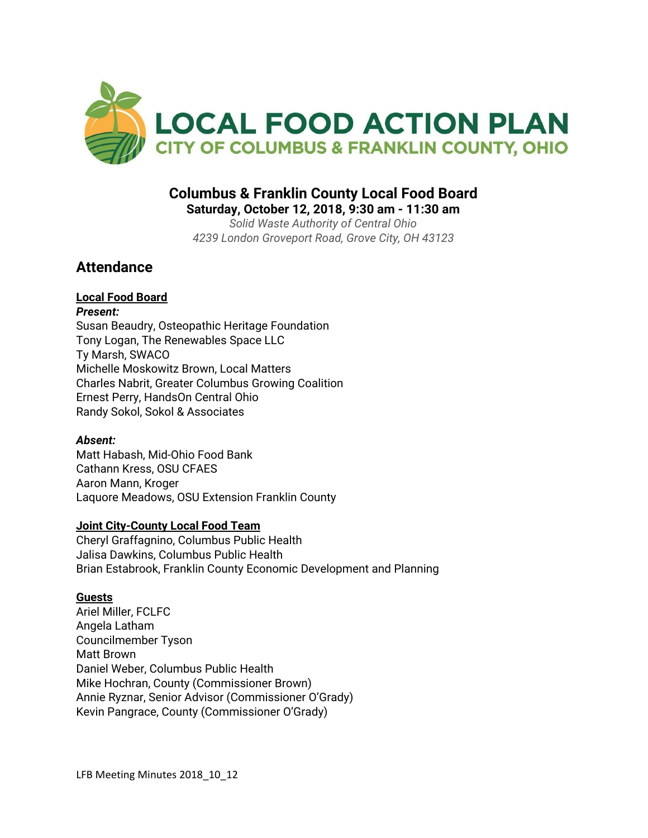

# **Columbus & Franklin County Local Food Board**

**Saturday, October 12, 2018, 9:30 am - 11:30 am**

*Solid Waste Authority of Central Ohio 4239 London Groveport Road, Grove City, OH 43123*

# **Attendance**

# **Local Food Board**

*Present:* Susan Beaudry, Osteopathic Heritage Foundation Tony Logan, The Renewables Space LLC Ty Marsh, SWACO Michelle Moskowitz Brown, Local Matters Charles Nabrit, Greater Columbus Growing Coalition Ernest Perry, HandsOn Central Ohio Randy Sokol, Sokol & Associates

## *Absent:*

Matt Habash, Mid-Ohio Food Bank Cathann Kress, OSU CFAES Aaron Mann, Kroger Laquore Meadows, OSU Extension Franklin County

## **Joint City-County Local Food Team**

Cheryl Graffagnino, Columbus Public Health Jalisa Dawkins, Columbus Public Health Brian Estabrook, Franklin County Economic Development and Planning

## **Guests**

Ariel Miller, FCLFC Angela Latham Councilmember Tyson Matt Brown Daniel Weber, Columbus Public Health Mike Hochran, County (Commissioner Brown) Annie Ryznar, Senior Advisor (Commissioner O'Grady) Kevin Pangrace, County (Commissioner O'Grady)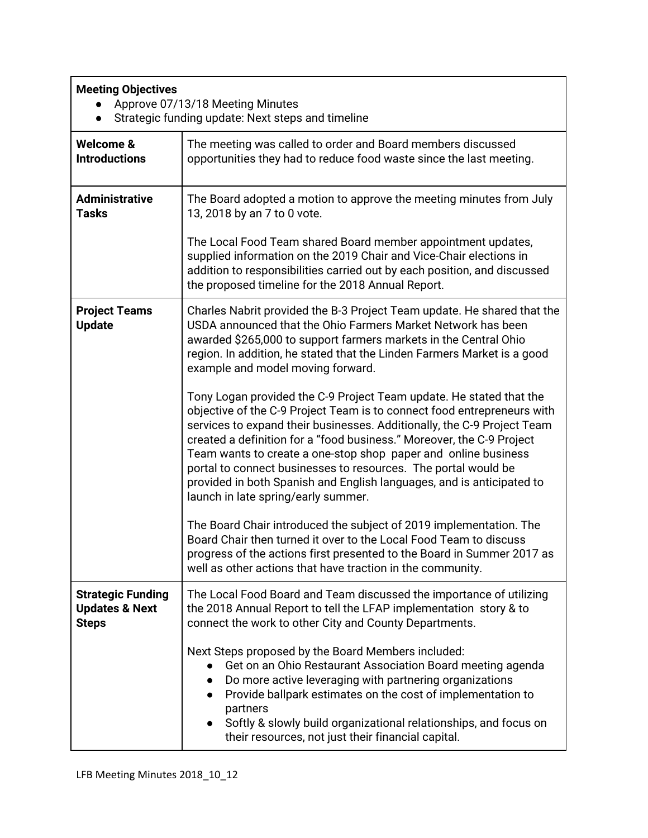| <b>Meeting Objectives</b><br>Approve 07/13/18 Meeting Minutes<br>Strategic funding update: Next steps and timeline |                                                                                                                                                                                                                                                                                                                                                                                                                                                                                                                                                        |
|--------------------------------------------------------------------------------------------------------------------|--------------------------------------------------------------------------------------------------------------------------------------------------------------------------------------------------------------------------------------------------------------------------------------------------------------------------------------------------------------------------------------------------------------------------------------------------------------------------------------------------------------------------------------------------------|
| Welcome &<br><b>Introductions</b>                                                                                  | The meeting was called to order and Board members discussed<br>opportunities they had to reduce food waste since the last meeting.                                                                                                                                                                                                                                                                                                                                                                                                                     |
| <b>Administrative</b><br><b>Tasks</b>                                                                              | The Board adopted a motion to approve the meeting minutes from July<br>13, 2018 by an 7 to 0 vote.                                                                                                                                                                                                                                                                                                                                                                                                                                                     |
|                                                                                                                    | The Local Food Team shared Board member appointment updates,<br>supplied information on the 2019 Chair and Vice-Chair elections in<br>addition to responsibilities carried out by each position, and discussed<br>the proposed timeline for the 2018 Annual Report.                                                                                                                                                                                                                                                                                    |
| <b>Project Teams</b><br><b>Update</b>                                                                              | Charles Nabrit provided the B-3 Project Team update. He shared that the<br>USDA announced that the Ohio Farmers Market Network has been<br>awarded \$265,000 to support farmers markets in the Central Ohio<br>region. In addition, he stated that the Linden Farmers Market is a good<br>example and model moving forward.                                                                                                                                                                                                                            |
|                                                                                                                    | Tony Logan provided the C-9 Project Team update. He stated that the<br>objective of the C-9 Project Team is to connect food entrepreneurs with<br>services to expand their businesses. Additionally, the C-9 Project Team<br>created a definition for a "food business." Moreover, the C-9 Project<br>Team wants to create a one-stop shop paper and online business<br>portal to connect businesses to resources. The portal would be<br>provided in both Spanish and English languages, and is anticipated to<br>launch in late spring/early summer. |
|                                                                                                                    | The Board Chair introduced the subject of 2019 implementation. The<br>Board Chair then turned it over to the Local Food Team to discuss<br>progress of the actions first presented to the Board in Summer 2017 as<br>well as other actions that have traction in the community.                                                                                                                                                                                                                                                                        |
| <b>Strategic Funding</b><br><b>Updates &amp; Next</b><br><b>Steps</b>                                              | The Local Food Board and Team discussed the importance of utilizing<br>the 2018 Annual Report to tell the LFAP implementation story & to<br>connect the work to other City and County Departments.                                                                                                                                                                                                                                                                                                                                                     |
|                                                                                                                    | Next Steps proposed by the Board Members included:<br>Get on an Ohio Restaurant Association Board meeting agenda<br>Do more active leveraging with partnering organizations<br>$\bullet$<br>Provide ballpark estimates on the cost of implementation to<br>partners<br>Softly & slowly build organizational relationships, and focus on<br>their resources, not just their financial capital.                                                                                                                                                          |